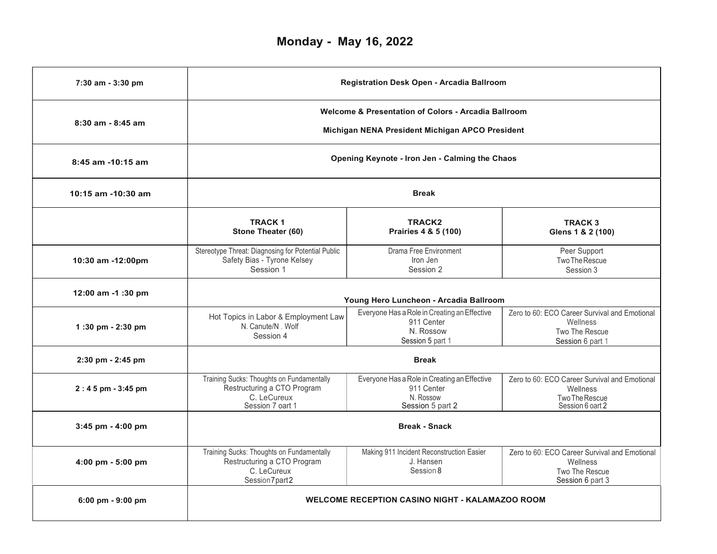| 7:30 am - 3:30 pm  | Registration Desk Open - Arcadia Ballroom                                                                         |                                                                                             |                                                                                                 |  |  |
|--------------------|-------------------------------------------------------------------------------------------------------------------|---------------------------------------------------------------------------------------------|-------------------------------------------------------------------------------------------------|--|--|
| 8:30 am - 8:45 am  | <b>Welcome &amp; Presentation of Colors - Arcadia Ballroom</b><br>Michigan NENA President Michigan APCO President |                                                                                             |                                                                                                 |  |  |
| 8:45 am -10:15 am  | Opening Keynote - Iron Jen - Calming the Chaos                                                                    |                                                                                             |                                                                                                 |  |  |
| 10:15 am -10:30 am | <b>Break</b>                                                                                                      |                                                                                             |                                                                                                 |  |  |
|                    | <b>TRACK1</b><br>Stone Theater (60)                                                                               | <b>TRACK2</b><br>Prairies 4 & 5 (100)                                                       | <b>TRACK 3</b><br>Glens 1 & 2 (100)                                                             |  |  |
| 10:30 am -12:00pm  | Stereotype Threat: Diagnosing for Potential Public<br>Safety Bias - Tyrone Kelsey<br>Session 1                    | Drama Free Environment<br>Iron Jen<br>Session 2                                             | Peer Support<br>Two The Rescue<br>Session 3                                                     |  |  |
| 12:00 am -1:30 pm  | Young Hero Luncheon - Arcadia Ballroom                                                                            |                                                                                             |                                                                                                 |  |  |
| 1:30 pm - 2:30 pm  | Hot Topics in Labor & Employment Law<br>N. Canute/N. Wolf<br>Session 4                                            | Everyone Has a Role in Creating an Effective<br>911 Center<br>N. Rossow<br>Session 5 part 1 | Zero to 60: ECO Career Survival and Emotional<br>Wellness<br>Two The Rescue<br>Session 6 part 1 |  |  |
| 2:30 pm - 2:45 pm  | <b>Break</b>                                                                                                      |                                                                                             |                                                                                                 |  |  |
| 2:45 pm - 3:45 pm  | Training Sucks: Thoughts on Fundamentally<br>Restructuring a CTO Program<br>C. LeCureux<br>Session 7 oart 1       | Everyone Has a Role in Creating an Effective<br>911 Center<br>N. Rossow<br>Session 5 part 2 | Zero to 60: ECO Career Survival and Emotional<br>Wellness<br>Two The Rescue<br>Session 6 oart 2 |  |  |
| 3:45 pm - 4:00 pm  | <b>Break - Snack</b>                                                                                              |                                                                                             |                                                                                                 |  |  |
| 4:00 pm - 5:00 pm  | Training Sucks: Thoughts on Fundamentally<br>Restructuring a CTO Program<br>C. LeCureux<br>Session7part2          | Making 911 Incident Reconstruction Easier<br>J. Hansen<br>Session 8                         | Zero to 60: ECO Career Survival and Emotional<br>Wellness<br>Two The Rescue<br>Session 6 part 3 |  |  |
| 6:00 pm - 9:00 pm  |                                                                                                                   | <b>WELCOME RECEPTION CASINO NIGHT - KALAMAZOO ROOM</b>                                      |                                                                                                 |  |  |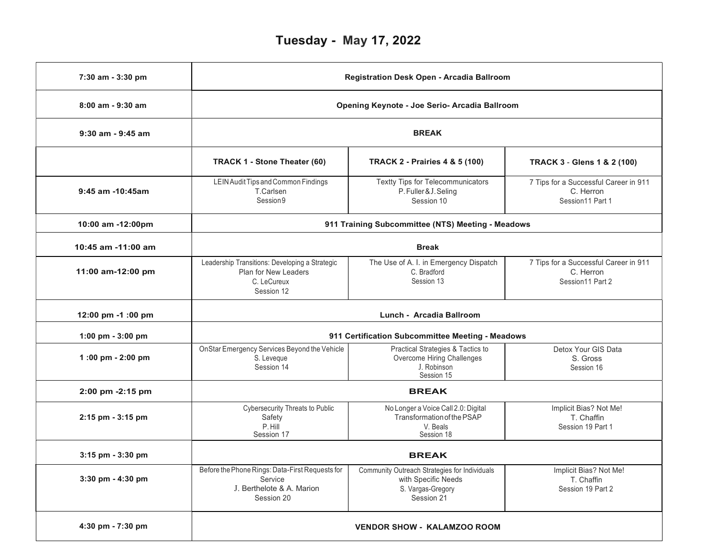## Tuesday - May 17, 2022

| 7:30 am - 3:30 pm  | Registration Desk Open - Arcadia Ballroom<br>Opening Keynote - Joe Serio- Arcadia Ballroom                                                          |                                                                                              |                                                                        |  |  |
|--------------------|-----------------------------------------------------------------------------------------------------------------------------------------------------|----------------------------------------------------------------------------------------------|------------------------------------------------------------------------|--|--|
| 8:00 am - 9:30 am  |                                                                                                                                                     |                                                                                              |                                                                        |  |  |
| 9:30 am - 9:45 am  | <b>BREAK</b>                                                                                                                                        |                                                                                              |                                                                        |  |  |
|                    | TRACK 1 - Stone Theater (60)                                                                                                                        | <b>TRACK 2 - Prairies 4 &amp; 5 (100)</b>                                                    | <b>TRACK 3 - Glens 1 &amp; 2 (100)</b>                                 |  |  |
| 9:45 am -10:45am   | LEIN Audit Tips and Common Findings<br>T.Carlsen<br>Session 9                                                                                       | Textty Tips for Telecommunicators<br>P. Fuller & J. Seling<br>Session 10                     | 7 Tips for a Successful Career in 911<br>C. Herron<br>Session11 Part 1 |  |  |
| 10:00 am -12:00pm  | 911 Training Subcommittee (NTS) Meeting - Meadows                                                                                                   |                                                                                              |                                                                        |  |  |
| 10:45 am -11:00 am | <b>Break</b>                                                                                                                                        |                                                                                              |                                                                        |  |  |
| 11:00 am-12:00 pm  | Leadership Transitions: Developing a Strategic<br>Plan for New Leaders<br>C. LeCureux<br>Session 12                                                 | The Use of A. I. in Emergency Dispatch<br>C. Bradford<br>Session 13                          | 7 Tips for a Successful Career in 911<br>C. Herron<br>Session11 Part 2 |  |  |
| 12:00 pm -1 :00 pm | Lunch - Arcadia Ballroom                                                                                                                            |                                                                                              |                                                                        |  |  |
| 1:00 pm - 3:00 pm  | 911 Certification Subcommittee Meeting - Meadows                                                                                                    |                                                                                              |                                                                        |  |  |
| 1:00 pm - 2:00 pm  | OnStar Emergency Services Beyond the Vehicle<br>S. Leveque<br>Session 14                                                                            | Practical Strategies & Tactics to<br>Overcome Hiring Challenges<br>J. Robinson<br>Session 15 | Detox Your GIS Data<br>S. Gross<br>Session 16                          |  |  |
| 2:00 pm -2:15 pm   | <b>BREAK</b>                                                                                                                                        |                                                                                              |                                                                        |  |  |
| 2:15 pm - 3:15 pm  | <b>Cybersecurity Threats to Public</b><br>Safety<br>P. Hill<br>Session 17                                                                           | No Longer a Voice Call 2.0: Digital<br>Transformation of the PSAP<br>V. Beals<br>Session 18  | Implicit Bias? Not Me!<br>T. Chaffin<br>Session 19 Part 1              |  |  |
| 3:15 pm - 3:30 pm  | <b>BREAK</b>                                                                                                                                        |                                                                                              |                                                                        |  |  |
| 3:30 pm - 4:30 pm  | Before the Phone Rings: Data-First Requests for Community Outreach Strategies for Individuals<br>Service<br>J. Berthelote & A. Marion<br>Session 20 | with Specific Needs<br>S. Vargas-Gregory<br>Session 21                                       | Implicit Bias? Not Me!<br>T. Chaffin<br>Session 19 Part 2              |  |  |
| 4:30 pm - 7:30 pm  | <b>VENDOR SHOW - KALAMZOO ROOM</b>                                                                                                                  |                                                                                              |                                                                        |  |  |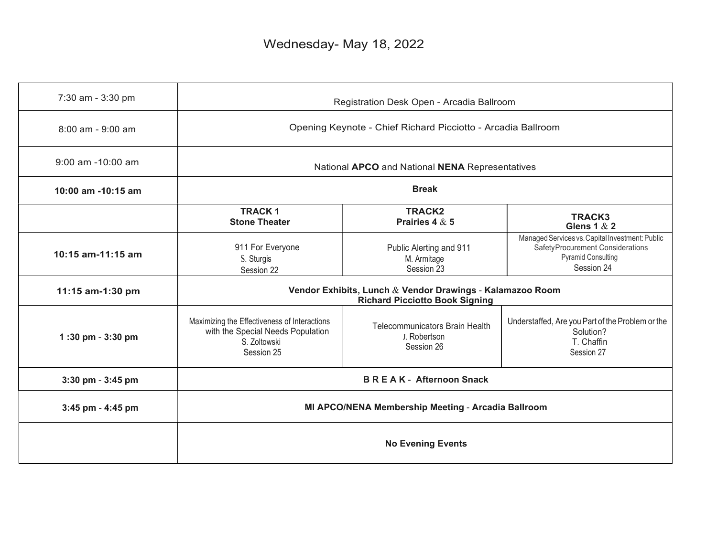## Wednesday- May 18, 2022

| 7:30 am - 3:30 pm  | Registration Desk Open - Arcadia Ballroom                                                                       |                                                              |                                                                                                                                |  |
|--------------------|-----------------------------------------------------------------------------------------------------------------|--------------------------------------------------------------|--------------------------------------------------------------------------------------------------------------------------------|--|
| 8:00 am - 9:00 am  | Opening Keynote - Chief Richard Picciotto - Arcadia Ballroom                                                    |                                                              |                                                                                                                                |  |
| 9:00 am -10:00 am  | National APCO and National NENA Representatives                                                                 |                                                              |                                                                                                                                |  |
| 10:00 am -10:15 am | <b>Break</b>                                                                                                    |                                                              |                                                                                                                                |  |
|                    | <b>TRACK1</b><br><b>Stone Theater</b>                                                                           | <b>TRACK2</b><br>Prairies 4 $\&$ 5                           | <b>TRACK3</b><br>Glens 1 $&$ 2                                                                                                 |  |
| 10:15 am-11:15 am  | 911 For Everyone<br>S. Sturgis<br>Session 22                                                                    | Public Alerting and 911<br>M. Armitage<br>Session 23         | Managed Services vs. Capital Investment: Public<br>SafetyProcurement Considerations<br><b>Pyramid Consulting</b><br>Session 24 |  |
| 11:15 am-1:30 pm   | Vendor Exhibits, Lunch & Vendor Drawings - Kalamazoo Room<br><b>Richard Picciotto Book Signing</b>              |                                                              |                                                                                                                                |  |
| 1:30 pm - 3:30 pm  | Maximizing the Effectiveness of Interactions<br>with the Special Needs Population<br>S. Zoltowski<br>Session 25 | Telecommunicators Brain Health<br>J. Robertson<br>Session 26 | Understaffed, Are you Part of the Problem or the<br>Solution?<br>T. Chaffin<br>Session 27                                      |  |
| 3:30 pm - 3:45 pm  | <b>BREAK-Afternoon Snack</b>                                                                                    |                                                              |                                                                                                                                |  |
| 3:45 pm - 4:45 pm  | MI APCO/NENA Membership Meeting - Arcadia Ballroom                                                              |                                                              |                                                                                                                                |  |
|                    | <b>No Evening Events</b>                                                                                        |                                                              |                                                                                                                                |  |